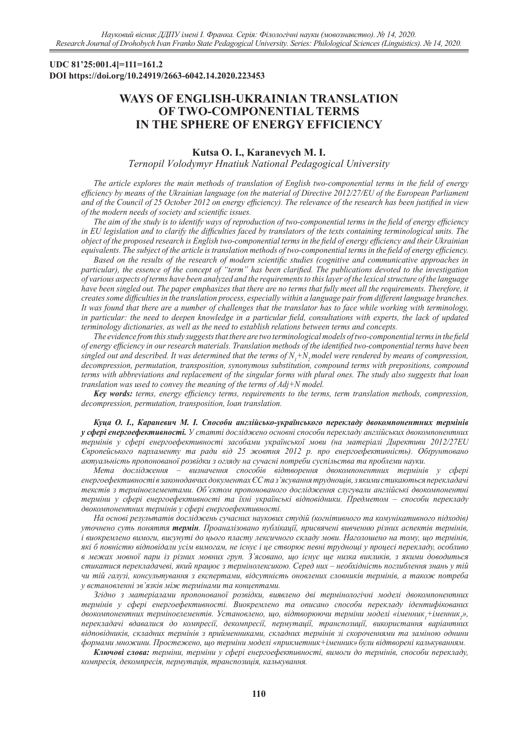### **UDC 81'25:001.4]=111=161.2 DOI https://doi.org/10.24919/2663-6042.14.2020.223453**

# **WAYS OF ENGLISH-UKRAINIAN TRANSLATION OF TWO-COMPONENTIAL TERMS IN THE SPHERE OF ENERGY EFFICIENCY**

## **Kutsa O. I., Karanevych M. I.**

*Ternopil Volodymyr Hnatiuk National Pedagogical University*

*The article explores the main methods of translation of English two-componential terms in the field of energy efficiency by means of the Ukrainian language (on the material of Directive 2012/27/EU of the European Parliament and of the Council of 25 October 2012 on energy efficiency). The relevance of the research has been justified in view of the modern needs of society and scientific issues.*

*The aim of the study is to identify ways of reproduction of two-componential terms in the field of energy efficiency in EU legislation and to clarify the difficulties faced by translators of the texts containing terminological units. The object of the proposed research is English two-componential terms in the field of energy efficiency and their Ukrainian equivalents. The subject of the article is translation methods of two-componential terms in the field of energy efficiency.*

*Based on the results of the research of modern scientific studies (cognitive and communicative approaches in particular), the essence of the concept of "term" has been clarified. The publications devoted to the investigation of various aspects of terms have been analyzed and the requirements to this layer of the lexical structure of the language have been singled out. The paper emphasizes that there are no terms that fully meet all the requirements. Therefore, it creates some difficulties in the translation process, especially within a language pair from different language branches. It was found that there are a number of challenges that the translator has to face while working with terminology, in particular: the need to deepen knowledge in a particular field, consultations with experts, the lack of updated terminology dictionaries, as well as the need to establish relations between terms and concepts.*

*The evidence from this study suggests that there are two terminological models of two-componential terms in the field of energy efficiency in our research materials. Translation methods of the identified two-componential terms have been*  singled out and described. It was determined that the terms of  $N_1 + N_2$  model were rendered by means of compression, *decompression, permutation, transposition, synonymous substitution, compound terms with prepositions, compound terms with abbreviations and replacement of the singular forms with plural ones. The study also suggests that loan translation was used to convey the meaning of the terms of Adj+N model.* 

*Key words: terms, energy efficiency terms, requirements to the terms, term translation methods, compression, decompression, permutation, transposition, loan translation.* 

*Куца О. І., Караневич М. І. Способи англійсько-українського перекладу двокомпонентних термінів у сфері енергоефективності. У статті досліджено основні способи перекладу англійських двокомпонентних термінів у сфері енергоефективності засобами української мови (на матеріалі Директиви 2012/27EU Європейського парламенту та ради від 25 жовтня 2012 р. про енергоефективність). Обґрунтовано актуальність пропонованої розвідки з огляду на сучасні потреби суспільства та проблеми науки.* 

*Мета дослідження – визначення способів відтворення двокомпонентних термінів у сфері енергоефективності в законодавчих документах ЄС та з'ясування труднощів, з якими стикаються перекладачі текстів з терміноелементами. Об'єктом пропонованого дослідження слугували англійські двокомпонентні терміни у сфері енергоефективності та їхні українські відповідники. Предметом – способи перекладу двокомпонентних термінів у сфері енергоефективності.* 

*На основі результатів досліджень сучасних наукових студій (когнітивного та комунікативного підходів) уточнено суть поняття термін. Проаналізовано публікації, присвячені вивченню різних аспектів термінів, і виокремлено вимоги, висунуті до цього пласту лексичного складу мови. Наголошено на тому, що термінів, які б повністю відповідали усім вимогам, не існує і це створює певні труднощі у процесі перекладу, особливо в межах мовної пари із різних мовних груп. З'ясовано, що існує ще низка викликів, з якими доводиться стикатися перекладачеві, який працює з термінолексикою. Серед них – необхідність поглиблення знань у тій чи тій галузі, консультування з експертами, відсутність оновлених словників термінів, а також потреба у встановленні зв'язків між термінами та концептами.* 

*Згідно з матеріалами пропонованої розвідки, виявлено дві термінологічні моделі двокомпонентних термінів у сфері енергоефективності. Виокремлено та описано способи перекладу ідентифікованих*  двокомпонентних терміноелементів. Установлено, що, відтворюючи терміни моделі «іменник<sub>1</sub>+іменник<sub>2</sub>», *перекладачі вдавалися до компресії, декомпресії, пермутації, транспозиції, використання варіантних відповідників, складних термінів з прийменниками, складних термінів зі скороченнями та заміною однини формами множини. Простежено, що терміни моделі «прикметник+іменник» були відтворені калькуванням.* 

*Ключові слова: терміни, терміни у сфері енергоефективності, вимоги до термінів, способи перекладу, компресія, декомпресія, пермутація, транспозиція, калькування.*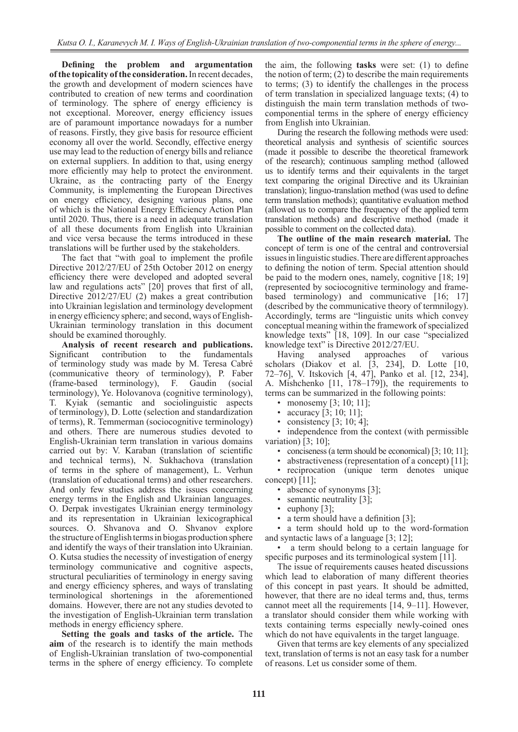**Defining the problem and argumentation of the topicality of the consideration.** In recent decades, the growth and development of modern sciences have contributed to creation of new terms and coordination of terminology. The sphere of energy efficiency is not exceptional. Moreover, energy efficiency issues are of paramount importance nowadays for a number of reasons. Firstly, they give basis for resource efficient economy all over the world. Secondly, effective energy use may lead to the reduction of energy bills and reliance on external suppliers. In addition to that, using energy more efficiently may help to protect the environment. Ukraine, as the contracting party of the Energy Community, is implementing the European Directives on energy efficiency, designing various plans, one of which is the National Energy Efficiency Action Plan until 2020. Thus, there is a need in adequate translation of all these documents from English into Ukrainian and vice versa because the terms introduced in these translations will be further used by the stakeholders.

The fact that "with goal to implement the profile Directive 2012/27/EU of 25th October 2012 on energy efficiency there were developed and adopted several law and regulations acts" [20] proves that first of all, Directive 2012/27/EU (2) makes a great contribution into Ukrainian legislation and terminology development in energy efficiency sphere; and second, ways of English-Ukrainian terminology translation in this document should be examined thoroughly.

**Analysis of recent research and publications.** Significant contribution to the fundamentals of terminology study was made by M. Teresa Cabré (communicative theory of terminology), P. Faber (frame-based terminology), F. Gaudin (social terminology), Ye. Holovanova (cognitive terminology), T. Kyiak (semantic and sociolinguistic aspects of terminology), D. Lotte (selection and standardization of terms), R. Temmerman (sociocognitive terminology) and others. There are numerous studies devoted to English-Ukrainian term translation in various domains carried out by: V. Karaban (translation of scientific and technical terms), N. Sukhachova (translation of terms in the sphere of management), L. Verhun (translation of educational terms) and other researchers. And only few studies address the issues concerning energy terms in the English and Ukrainian languages. O. Derpak investigates Ukrainian energy terminology and its representation in Ukrainian lexicographical sources. O. Shvanova and O. Shvanov explore the structure of English terms in biogas production sphere and identify the ways of their translation into Ukrainian. O. Kutsa studies the necessity of investigation of energy terminology communicative and cognitive aspects, structural peculiarities of terminology in energy saving and energy efficiency spheres, and ways of translating terminological shortenings in the aforementioned domains. However, there are not any studies devoted to the investigation of English-Ukrainian term translation methods in energy efficiency sphere.

**Setting the goals and tasks of the article.** The **aim** of the research is to identify the main methods of English-Ukrainian translation of two-componential terms in the sphere of energy efficiency. To complete

the aim, the following **tasks** were set: (1) to define the notion of term; (2) to describe the main requirements to terms; (3) to identify the challenges in the process of term translation in specialized language texts; (4) to distinguish the main term translation methods of twocomponential terms in the sphere of energy efficiency from English into Ukrainian.

During the research the following methods were used: theoretical analysis and synthesis of scientific sources (made it possible to describe the theoretical framework of the research); continuous sampling method (allowed us to identify terms and their equivalents in the target text comparing the original Directive and its Ukrainian translation); linguo-translation method (was used to define term translation methods); quantitative evaluation method (allowed us to compare the frequency of the applied term translation methods) and descriptive method (made it possible to comment on the collected data).

**The outline of the main research material.** The concept of term is one of the central and controversial issues in linguistic studies. There are different approaches to defining the notion of term. Special attention should be paid to the modern ones, namely, cognitive [18; 19] (represented by sociocognitive terminology and framebased terminology) and communicative [16; 17] (described by the communicative theory of termnilogy). Accordingly, terms are "linguistic units which convey conceptual meaning within the framework of specialized knowledge texts" [18, 109]. In our case "specialized knowledge text" is Directive 2012/27/EU.

Having analysed approaches of various scholars (Diakov et al. [3, 234], D. Lotte [10, 72–76], V. Itskovich [4, 47], Panko et al. [12, 234], A. Mishchenko [11, 178–179]), the requirements to terms can be summarized in the following points:

• monosemy [3; 10; 11];

- accuracy [3; 10; 11];
- consistency  $[3; 10; 4]$ ;

• independence from the context (with permissible variation) [3; 10];

• conciseness (a term should be economical) [3; 10; 11];

• abstractiveness (representation of a concept) [11];

• reciprocation (unique term denotes unique concept) [11];

- absence of synonyms [3];
- semantic neutrality [3];
- euphony [3];
- a term should have a definition [3];

• a term should hold up to the word-formation and syntactic laws of a language [3; 12];

• a term should belong to a certain language for specific purposes and its terminological system [11].

The issue of requirements causes heated discussions which lead to elaboration of many different theories of this concept in past years. It should be admitted, however, that there are no ideal terms and, thus, terms cannot meet all the requirements [14, 9–11]. However, a translator should consider them while working with texts containing terms especially newly-coined ones which do not have equivalents in the target language.

Given that terms are key elements of any specialized text, translation of terms is not an easy task for a number of reasons. Let us consider some of them.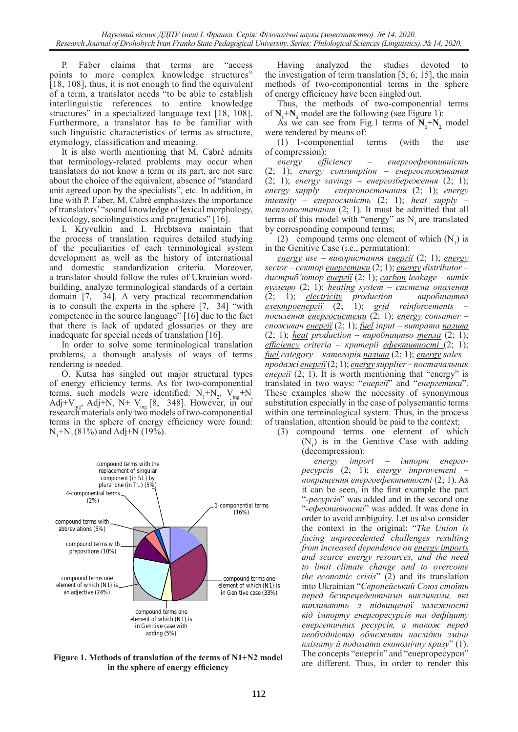P. Faber claims that terms are "access points to more complex knowledge structures" [18, 108], thus, it is not enough to find the equivalent of a term, a translator needs "to be able to establish interlinguistic references to entire knowledge structures" in a specialized language text [18, 108]. Furthermore, a translator has to be familiar with such linguistic characteristics of terms as structure, etymology, classification and meaning.

It is also worth mentioning that M. Cabré admits that terminology-related problems may occur when translators do not know a term or its part, are not sure about the choice of the equivalent, absence of "standard unit agreed upon by the specialists", etc. In addition, in line with P. Faber, M. Cabré emphasizes the importance of translators' "sound knowledge of lexical morphology, lexicology, sociolinguistics and pragmatics" [16].

I. Kryvulkin and I. Hrebtsova maintain that the process of translation requires detailed studying of the peculiarities of each terminological system development as well as the history of international and domestic standardization criteria. Moreover, a translator should follow the rules of Ukrainian wordbuilding, analyze terminological standards of a certain domain [7, 34]. A very practical recommendation is to consult the experts in the sphere [7, 34] "with competence in the source language" [16] due to the fact that there is lack of updated glossaries or they are inadequate for special needs of translation [16].

In order to solve some terminological translation problems, a thorough analysis of ways of terms rendering is needed.

O. Kutsa has singled out major structural types of energy efficiency terms. As for two-componential terms, such models were identified:  $N_1 + N_2$ ,  $V_{ing} + N_1$ , Adj+V<sub>ing</sub>, Adj+N, N+ V<sub>ing</sub> [8, 348]. However, in our research materials only two models of two-componential terms in the sphere of energy efficiency were found:  $N_1+N_2$  (81%) and Adj+N (19%).



**Figure 1. Methods of translation of the terms of N1+N2 model in the sphere of energy efficiency**

Having analyzed the studies devoted to the investigation of term translation  $[5, 6, 15]$ , the main methods of two-componential terms in the sphere of energy efficiency have been singled out.

Thus, the methods of two-componential terms of  $N_1 + N_2$  model are the following (see Figure 1):

As we can see from Fig.1 terms of  $N_1 + N_2$  model were rendered by means of:

(1) 1-componential terms (with the use of compression):

*energy efficiency* – *енергоефективність* (2; 1); *energy consumption* – *енергоспоживання* (2; 1); *energy savings* – *енергозбереження* (2; 1); *energy supply* – *енергопостачання* (2; 1); *energy intensity* – *енергоємність* (2; 1); *heat supply* – *теплопостачання* (2; 1). It must be admitted that all terms of this model with "energy" as  $N<sub>1</sub>$  are translated by corresponding compound terms;

(2) compound terms one element of which  $(N_1)$  is in the Genitive Case (i.e., permutation):

*energy use* – *використання енергії* (2; 1); *energy sector* – *сектор енергетики* (2; 1); *energy distributor* – *дистриб'ютор енергії* (2; 1); *carbon leakage* – *витік вуглецю* (2; 1); *heating system – система опалення* (2; 1); *electricity production* – *виробництво електроенергії* (2; 1); *grid reinforcements* – *посилення енергосистеми* (2; 1); *energy consumer* – *споживач енергії* (2; 1); *fuel input* – *витрата палива* (2; 1); *heat production* – *виробництво тепла* (2; 1); *efficiency criteria* – *критерії ефективності* (2; 1); *fuel category* – *категорія палива* (2; 1); *energy sales – продажі енергії*(2; 1); *energy supplier – постачальник енергії* (2; 1). It is worth mentioning that "energy" is translated in two ways: "*енергії*" and "*енергетики*". These examples show the necessity of synonymous substitution especially in the case of polysemantic terms within one terminological system. Thus, in the process of translation, attention should be paid to the context;

(3) compound terms one element of which  $(N_1)$  is in the Genitive Case with adding (decompression):

*energy import* – *імпорт енергоресурсів* (2; 1); *energy improvement* – *покращення енергоефективності* (2; 1). As it can be seen, in the first example the part "-*ресурсів*" was added and in the second one "-*ефективності*" was added. It was done in order to avoid ambiguity. Let us also consider the context in the original: "*The Union is facing unprecedented challenges resulting from increased dependence on energy imports and scarce energy resources, and the need to limit climate change and to overcome the economic crisis*" (2) and its translation into Ukrainian "*Європейський Союз стоїть перед безпрецедентними викликами, які випливають з підвищеної залежності від імпорту енергоресурсів та дефіциту енергетичних ресурсів, а також перед необхідністю обмежити наслідки зміни клімату й подолати економічну кризу*" (1). The concepts "енергія" and "енергоресурси" are different. Thus, in order to render this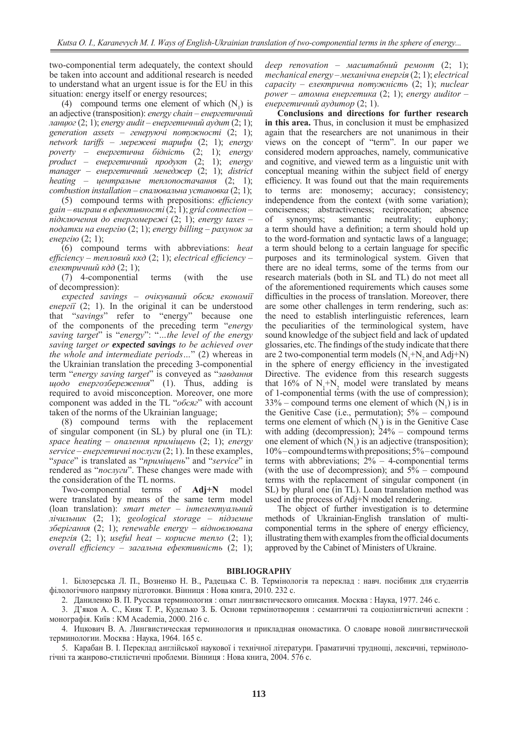two-componential term adequately, the context should be taken into account and additional research is needed to understand what an urgent issue is for the EU in this situation: energy itself or energy resources;

(4) compound terms one element of which  $(N_1)$  is an adjective (transposition): *energy chain* – *енергетичний ланцюг*(2; 1); *energy audit* – *енергетичний аудит* (2; 1); *generation assets* – *генеруючі потужності* (2; 1); *network tariffs* – *мережеві тарифи* (2; 1); *energy poverty* – *енергетична бідність* (2; 1); *energy product* – *енергетичний продукт* (2; 1); *energy manager* – *енергетичний менеджер* (2; 1); *district heating – центральне теплопостачання* (2; 1); *combustion installation – спалювальна установка* (2; 1);

(5) compound terms with prepositions: *efficiency gain* – *виграш в ефективності* (2; 1); *grid connection* – *підключення до енергомережі* (2; 1); *energy taxes – податки на енергію* (2; 1); *energy billing – рахунок за енергію* (2; 1);

(6) compound terms with abbreviations: *heat efficiency* – *тепловий ккд* (2; 1); *electrical efficiency* – *електричний кдд* (2; 1);

(7) 4-componential terms (with the use of decompression):

*expected savings* – *очікуваний обсяг економії енергії* (2; 1). In the original it can be understood that "*savings*" refer to "energy" because one of the components of the preceding term "*energy saving target*" is "*energy*": "*…the level of the energy saving target or expected savings to be achieved over the whole and intermediate periods…*" (2) whereas in the Ukrainian translation the preceding 3-componential term "*energy saving target*" is conveyed as "*завдання щодо енергозбереження*" (1). Thus, adding is required to avoid misconception. Moreover, one more component was added in the TL "*обсяг*" with account taken of the norms of the Ukrainian language;

(8) compound terms with the replacement of singular component (in SL) by plural one (in TL): *space heating* – *опалення приміщень* (2; 1); *energy service* – *енергетичні послуги*  $(2, 1)$ . In these examples, "*space*" is translated as "*приміщень*" and "*service*" in rendered as "*послуги*". These changes were made with the consideration of the TL norms.

Two-componential terms of **Adj+N** model were translated by means of the same term model (loan translation): *smart meter* – *інтелектуальний лічильник* (2; 1); *geological storage* – *підземне зберігання* (2; 1); *renewable energy* – *відновлювана енергія* (2; 1); *useful heat* – *корисне тепло* (2; 1); *overall efficiency* – *загальна ефективність* (2; 1);

*deep renovation* – *масштабний ремонт* (2; 1); *mechanical energy* – *механічна енергія* (2; 1); *electrical capacity* – *електрична потужність* (2; 1); *nuclear power – атомна енергетика* (2; 1); *energy auditor – енергетичний аудитор* (2; 1).

**Conclusions and directions for further research in this area.** Thus, in conclusion it must be emphasized again that the researchers are not unanimous in their views on the concept of "term". In our paper we considered modern approaches, namely, communicative and cognitive, and viewed term as a linguistic unit with conceptual meaning within the subject field of energy efficiency. It was found out that the main requirements to terms are: monosemy; accuracy; consistency; independence from the context (with some variation); conciseness; abstractiveness; reciprocation; absence of synonyms; semantic neutrality; euphony; a term should have a definition; a term should hold up to the word-formation and syntactic laws of a language; a term should belong to a certain language for specific purposes and its terminological system. Given that there are no ideal terms, some of the terms from our research materials (both in SL and TL) do not meet all of the aforementioned requirements which causes some difficulties in the process of translation. Moreover, there are some other challenges in term rendering, such as: the need to establish interlinguistic references, learn the peculiarities of the terminological system, have sound knowledge of the subject field and lack of updated glossaries, etc. The findings of the study indicate that there are 2 two-componential term models  $(N_1+N_2$  and Adj+N) in the sphere of energy efficiency in the investigated Directive. The evidence from this research suggests that 16% of  $N_1 + N_2$  model were translated by means of 1-componential terms (with the use of compression);  $33\%$  – compound terms one element of which  $(N_1)$  is in the Genitive Case (i.e., permutation);  $5\%$  – compound terms one element of which  $(N_1)$  is in the Genitive Case with adding (decompression);  $24%$  – compound terms one element of which  $(N_1)$  is an adjective (transposition); 10% – compound terms with prepositions; 5% – compound terms with abbreviations;  $2\% - 4$ -componential terms (with the use of decompression); and  $5\%$  – compound terms with the replacement of singular component (in SL) by plural one (in TL). Loan translation method was used in the process of Adj+N model rendering.

The object of further investigation is to determine methods of Ukrainian-English translation of multicomponential terms in the sphere of energy efficiency, illustrating them with examples from the official documents approved by the Cabinet of Ministers of Ukraine.

#### **BIBLIOGRAPHY**

1. Білозерська Л. П., Возненко Н. В., Радецька С. В. Термінологія та переклад : навч. посібник для студентів філологічного напряму підготовки. Вінниця : Нова книга, 2010. 232 с.

2. Даниленко В. П. Русская терминология : опыт лингвистического описания. Москва : Наука, 1977. 246 с.

3. Д'яков А. С., Кияк Т. Р., Куделько З. Б. Основи термінотворення : семантичні та соціолінгвістичні аспекти : монографія. Київ : КМ Academia, 2000. 216 c.

4. Ицкович В. А. Лингвистическая терминология и прикладная ономастика. О словаре новой лингвистической терминологии. Москва : Наука, 1964. 165 с.

5. Карабан В. І. Переклад англійської наукової і технічної літератури. Граматичні труднощі, лексичні, термінологічні та жанрово-стилістичні проблеми. Вінниця : Нова книга, 2004. 576 с.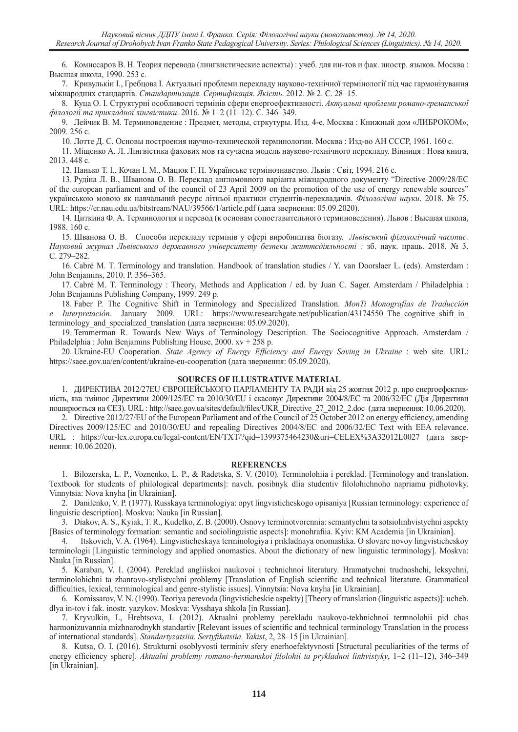6. Комиссаров В. Н. Теория перевода (лингвистические аспекты) : учеб. для ин-тов и фак. иностр. языков. Москва : Высшая школа, 1990. 253 с.

7. Кривулькін І., Гребцова І. Актуальні проблеми перекладу науково-технічної термінології під час гармонізування міжнародних стандартів. *Стандартизація. Сертифікація. Якість*. 2012. № 2. С. 28–15.

8. Куца О. І. Структурні особливості термінів сфери енергоефективності. *Актуальні проблеми романо-греманської філології та прикладної лінгвістики*. 2016. № 1–2 (11–12). С. 346–349.

9. Лейчик В. М. Терминоведение : Предмет, методы, стркутуры. Изд. 4-е. Москва : Книжный дом «ЛИБРОКОМ», 2009. 256 с.

10. Лотте Д. С. Основы построения научно-технической терминологии. Москва : Изд-во АН СССР, 1961. 160 с.

11. Міщенко А. Л. Лінгвістика фахових мов та сучасна модель науково-технічного перекладу. Вінниця : Нова книга, 2013. 448 с.

12. Панько Т. І., Кочан І. М., Мацюк Г. П. Українське термінознавство. Львів : Світ, 1994. 216 с.

13. Рудіна Л. В., Шванова О. В. Переклад англомовного варіанта міжнародного документу "Directive 2009/28/EC of the european parliament and of the council of 23 April 2009 on the promotion of the use of energy renewable sources" українською мовою як навчальний ресурс літньої практики студентів-перекладачів. *Філологічні науки*. 2018. № 75. URL: https://er.nau.edu.ua/bitstream/NAU/39566/1/article.pdf (дата звернення: 05.09.2020).

14. Циткина Ф. А. Терминология и перевод (к основам сопоставительного терминоведения). Львов : Высшая школа, 1988. 160 с.

15. Шванова О. В. Способи перекладу термінів у сфері виробництва біогазу. *Львівський філологічний часопис. Науковий журнал Львівського державного університету безпеки життєдіяльності :* зб. наук. праць. 2018. № 3. С. 279–282.

16. Cabré M. T. Terminology and translation. Handbook of translation studies / Y. van Doorslaer L. (eds). Amsterdam : John Benjamins, 2010. P. 356–365.

17. Cabré M. T. Terminology : Theory, Methods and Application / ed. by Juan C. Sager. Amsterdam / Philadelphia : John Benjamins Publishing Company, 1999. 249 p.

18. Faber P. The Cognitive Shift in Terminology and Specialized Translation. *MonTi Monografías de Traducción Interpretación.* January 2009. URL: https://www.researchgate.net/publication/43174550 The cognitive shift in terminology and specialized translation (дата звернення: 05.09.2020).

19. Temmerman R. Towards New Ways of Terminology Description. The Sociocognitive Approach. Amsterdam / Philadelphia : John Benjamins Publishing House, 2000. xv + 258 p.

20. Ukraine-EU Cooperation. *State Agency of Energy Efficiency and Energy Saving in Ukraine* : web site. URL: https://saee.gov.ua/en/content/ukraine-eu-cooperation (дата звернення: 05.09.2020).

#### **SOURCES OF ILLUSTRATIVE MATERIAL**

1. ДИРЕКТИВА 2012/27EU ЄВРОПЕЙСЬКОГО ПАРЛАМЕНТУ ТА РАДИ від 25 жовтня 2012 р. про енергоефективність, яка змінює Директиви 2009/125/EC та 2010/30/EU і скасовує Директиви 2004/8/EC та 2006/32/EC (Дія Директиви поширюється на ЄЕЗ). URL : http://saee.gov.ua/sites/default/files/UKR\_Directive\_27\_2012\_2.doc (дата звернення: 10.06.2020).

2. Directive 2012/27/EU of the European Parliament and of the Council of 25 October 2012 on energy efficiency, amending Directives 2009/125/EC and 2010/30/EU and repealing Directives 2004/8/EC and 2006/32/EC Text with EEA relevance. URL : https://eur-lex.europa.eu/legal-content/EN/TXT/?qid=1399375464230&uri=CELEX%3A32012L0027 (дата звернення: 10.06.2020).

#### **REFERENCES**

1. Bilozerska, L. P., Voznenko, L. P., & Radetska, S. V. (2010). Terminolohiia i pereklad. [Terminology and translation. Textbook for students of philological departments]: navch. posibnyk dlia studentiv filolohichnoho napriamu pidhotovky. Vinnytsia: Nova knyha [in Ukrainian].

2. Danilenko, V. P. (1977). Russkaya terminologiya: opyt lingvisticheskogo opisaniya [Russian terminology: experience of linguistic description]. Moskva: Nauka [in Russian].

3. Diakov,A. S., Kyiak, T. R., Kudelko, Z. B. (2000). Osnovy terminotvorennia: semantychni ta sotsiolinhvistychni aspekty [Basics of terminology formation: semantic and sociolinguistic aspects]: monohrafiia. Kyiv: KM Academia [in Ukrainian].

4. Itskovich, V. A. (1964). Lingvisticheskaya terminologiya i prikladnaya onomastika. O slovare novoy lingvisticheskoy terminologii [Linguistic terminology and applied onomastics. About the dictionary of new linguistic terminology]. Moskva: Nauka [in Russian].

5. Karaban, V. I. (2004). Pereklad angliiskoi naukovoi i technichnoi literatury. Hramatychni trudnoshchi, leksychni, terminolohichni ta zhanrovo-stylistychni problemy [Translation of English scientific and technical literature. Grammatical difficulties, lexical, terminological and genre-stylistic issues]. Vinnytsia: Nova knyha [in Ukrainian].

6. Komissarov, V. N. (1990). Teoriya perevoda (lingvisticheskie aspekty) [Theory of translation (linguistic aspects)]: ucheb. dlya in-tov i fak. inostr. yazykov. Moskva: Vysshaya shkola [in Russian].

7. Kryvulkin, I., Hrebtsova, I. (2012). Aktualni problemy perekladu naukovo-tekhnichnoi termnolohii pid chas harmonizuvannia mizhnarodnykh standartiv [Relevant issues of scientific and technical terminology Translation in the process of international standards]. *Standartyzatsiia. Sertyfikatsiia. Yakist*, 2, 28–15 [in Ukrainian].

8. Kutsa, O. I. (2016). Strukturni osoblyvosti terminiv sfery enerhoefektyvnosti [Structural peculiarities of the terms of energy efficiency sphere]. *Aktualni problemy romano-hermanskoi filolohii ta prykladnoi linhvistyky*, 1–2 (11–12), 346–349 [in Ukrainian].